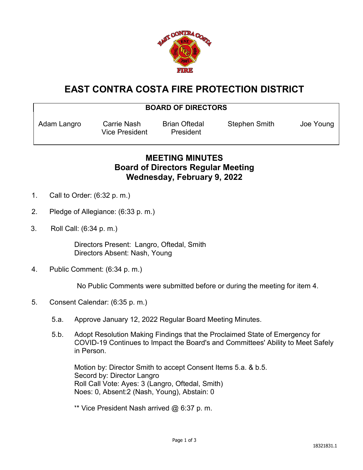

## **EAST CONTRA COSTA FIRE PROTECTION DISTRICT**

| <b>BOARD OF DIRECTORS</b> |                                      |                                   |                      |           |
|---------------------------|--------------------------------------|-----------------------------------|----------------------|-----------|
| Adam Langro               | Carrie Nash<br><b>Vice President</b> | <b>Brian Oftedal</b><br>President | <b>Stephen Smith</b> | Joe Young |
|                           |                                      |                                   |                      |           |

## **MEETING MINUTES Board of Directors Regular Meeting Wednesday, February 9, 2022**

- 1. Call to Order: (6:32 p. m.)
- 2. Pledge of Allegiance: (6:33 p. m.)
- 3. Roll Call: (6:34 p. m.)

Directors Present: Langro, Oftedal, Smith Directors Absent: Nash, Young

4. Public Comment: (6:34 p. m.)

No Public Comments were submitted before or during the meeting for item 4.

- 5. Consent Calendar: (6:35 p. m.)
	- 5.a. Approve January 12, 2022 Regular Board Meeting Minutes.
	- 5.b. Adopt Resolution Making Findings that the Proclaimed State of Emergency for COVID-19 Continues to Impact the Board's and Committees' Ability to Meet Safely in Person.

Motion by: Director Smith to accept Consent Items 5.a. & b.5. Secord by: Director Langro Roll Call Vote: Ayes: 3 (Langro, Oftedal, Smith) Noes: 0, Absent:2 (Nash, Young), Abstain: 0

\*\* Vice President Nash arrived  $@6:37$  p.m.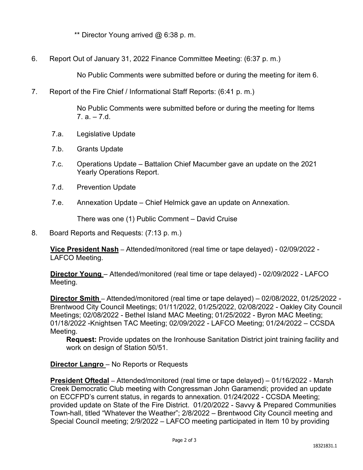\*\* Director Young arrived @ 6:38 p. m.

6. Report Out of January 31, 2022 Finance Committee Meeting: (6:37 p. m.)

No Public Comments were submitted before or during the meeting for item 6.

7. Report of the Fire Chief / Informational Staff Reports: (6:41 p. m.)

No Public Comments were submitted before or during the meeting for Items  $7. a - 7.d.$ 

- 7.a. Legislative Update
- 7.b. Grants Update
- 7.c. Operations Update Battalion Chief Macumber gave an update on the 2021 Yearly Operations Report.
- 7.d. Prevention Update
- 7.e. Annexation Update Chief Helmick gave an update on Annexation.

There was one (1) Public Comment – David Cruise

## 8. Board Reports and Requests: (7:13 p. m.)

**Vice President Nash** – Attended/monitored (real time or tape delayed) - 02/09/2022 - LAFCO Meeting.

**Director Young** – Attended/monitored (real time or tape delayed) - 02/09/2022 - LAFCO Meeting.

**Director Smith** – Attended/monitored (real time or tape delayed) – 02/08/2022, 01/25/2022 - Brentwood City Council Meetings; 01/11/2022, 01/25/2022, 02/08/2022 - Oakley City Council Meetings; 02/08/2022 - Bethel Island MAC Meeting; 01/25/2022 - Byron MAC Meeting; 01/18/2022 -Knightsen TAC Meeting; 02/09/2022 - LAFCO Meeting; 01/24/2022 – CCSDA Meeting.

**Request:** Provide updates on the Ironhouse Sanitation District joint training facility and work on design of Station 50/51.

**Director Langro** – No Reports or Requests

**President Oftedal** – Attended/monitored (real time or tape delayed) – 01/16/2022 - Marsh Creek Democratic Club meeting with Congressman John Garamendi; provided an update on ECCFPD's current status, in regards to annexation. 01/24/2022 - CCSDA Meeting; provided update on State of the Fire District. 01/20/2022 - Savvy & Prepared Communities Town-hall, titled "Whatever the Weather"; 2/8/2022 – Brentwood City Council meeting and Special Council meeting; 2/9/2022 – LAFCO meeting participated in Item 10 by providing